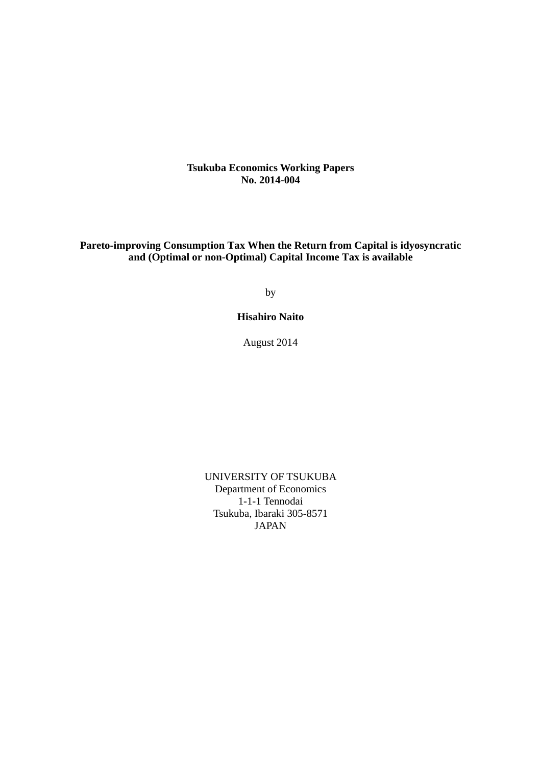**Tsukuba Economics Working Papers No. 2014-004**

**Pareto-improving Consumption Tax When the Return from Capital is idyosyncratic and (Optimal or non-Optimal) Capital Income Tax is available** 

by

**Hisahiro Naito** 

August 2014

UNIVERSITY OF TSUKUBA Department of Economics 1-1-1 Tennodai Tsukuba, Ibaraki 305-8571 JAPAN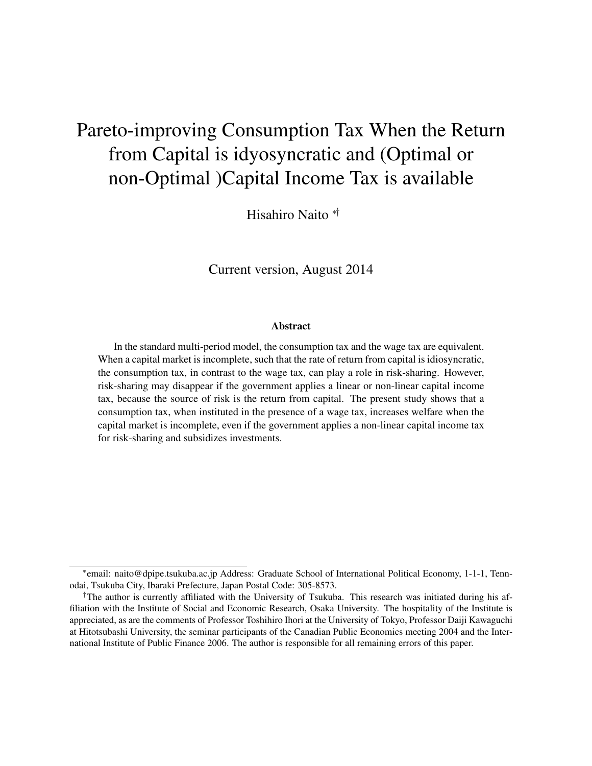# Pareto-improving Consumption Tax When the Return from Capital is idyosyncratic and (Optimal or non-Optimal )Capital Income Tax is available

Hisahiro Naito ∗†

Current version, August 2014

#### Abstract

In the standard multi-period model, the consumption tax and the wage tax are equivalent. When a capital market is incomplete, such that the rate of return from capital is idiosyncratic, the consumption tax, in contrast to the wage tax, can play a role in risk-sharing. However, risk-sharing may disappear if the government applies a linear or non-linear capital income tax, because the source of risk is the return from capital. The present study shows that a consumption tax, when instituted in the presence of a wage tax, increases welfare when the capital market is incomplete, even if the government applies a non-linear capital income tax for risk-sharing and subsidizes investments.

<sup>∗</sup> email: naito@dpipe.tsukuba.ac.jp Address: Graduate School of International Political Economy, 1-1-1, Tennodai, Tsukuba City, Ibaraki Prefecture, Japan Postal Code: 305-8573.

<sup>&</sup>lt;sup>†</sup>The author is currently affiliated with the University of Tsukuba. This research was initiated during his affiliation with the Institute of Social and Economic Research, Osaka University. The hospitality of the Institute is appreciated, as are the comments of Professor Toshihiro Ihori at the University of Tokyo, Professor Daiji Kawaguchi at Hitotsubashi University, the seminar participants of the Canadian Public Economics meeting 2004 and the International Institute of Public Finance 2006. The author is responsible for all remaining errors of this paper.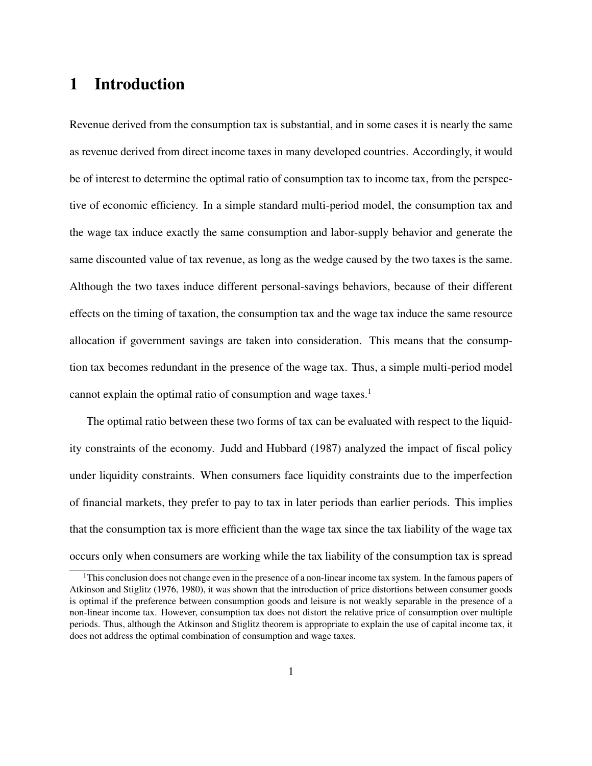## 1 Introduction

Revenue derived from the consumption tax is substantial, and in some cases it is nearly the same as revenue derived from direct income taxes in many developed countries. Accordingly, it would be of interest to determine the optimal ratio of consumption tax to income tax, from the perspective of economic efficiency. In a simple standard multi-period model, the consumption tax and the wage tax induce exactly the same consumption and labor-supply behavior and generate the same discounted value of tax revenue, as long as the wedge caused by the two taxes is the same. Although the two taxes induce different personal-savings behaviors, because of their different effects on the timing of taxation, the consumption tax and the wage tax induce the same resource allocation if government savings are taken into consideration. This means that the consumption tax becomes redundant in the presence of the wage tax. Thus, a simple multi-period model cannot explain the optimal ratio of consumption and wage taxes.<sup>1</sup>

The optimal ratio between these two forms of tax can be evaluated with respect to the liquidity constraints of the economy. Judd and Hubbard (1987) analyzed the impact of fiscal policy under liquidity constraints. When consumers face liquidity constraints due to the imperfection of financial markets, they prefer to pay to tax in later periods than earlier periods. This implies that the consumption tax is more efficient than the wage tax since the tax liability of the wage tax occurs only when consumers are working while the tax liability of the consumption tax is spread

<sup>&</sup>lt;sup>1</sup>This conclusion does not change even in the presence of a non-linear income tax system. In the famous papers of Atkinson and Stiglitz (1976, 1980), it was shown that the introduction of price distortions between consumer goods is optimal if the preference between consumption goods and leisure is not weakly separable in the presence of a non-linear income tax. However, consumption tax does not distort the relative price of consumption over multiple periods. Thus, although the Atkinson and Stiglitz theorem is appropriate to explain the use of capital income tax, it does not address the optimal combination of consumption and wage taxes.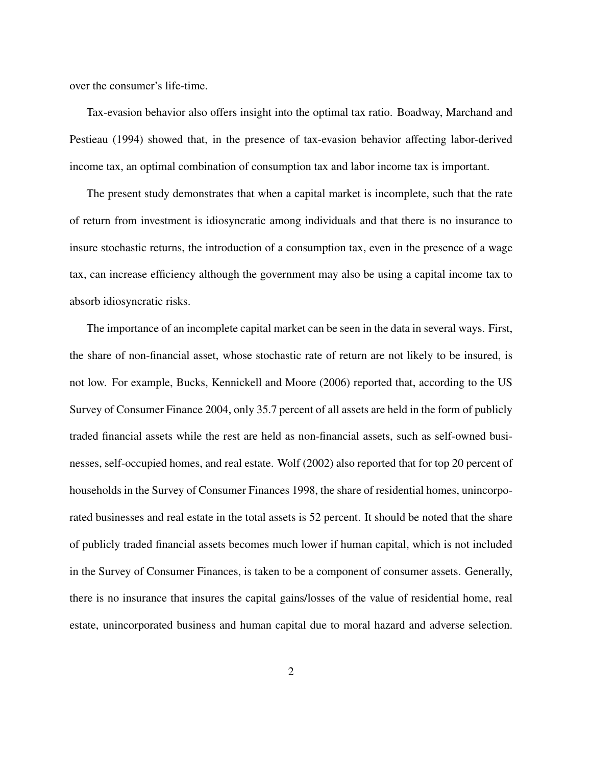over the consumer's life-time.

Tax-evasion behavior also offers insight into the optimal tax ratio. Boadway, Marchand and Pestieau (1994) showed that, in the presence of tax-evasion behavior affecting labor-derived income tax, an optimal combination of consumption tax and labor income tax is important.

The present study demonstrates that when a capital market is incomplete, such that the rate of return from investment is idiosyncratic among individuals and that there is no insurance to insure stochastic returns, the introduction of a consumption tax, even in the presence of a wage tax, can increase efficiency although the government may also be using a capital income tax to absorb idiosyncratic risks.

The importance of an incomplete capital market can be seen in the data in several ways. First, the share of non-financial asset, whose stochastic rate of return are not likely to be insured, is not low. For example, Bucks, Kennickell and Moore (2006) reported that, according to the US Survey of Consumer Finance 2004, only 35.7 percent of all assets are held in the form of publicly traded financial assets while the rest are held as non-financial assets, such as self-owned businesses, self-occupied homes, and real estate. Wolf (2002) also reported that for top 20 percent of households in the Survey of Consumer Finances 1998, the share of residential homes, unincorporated businesses and real estate in the total assets is 52 percent. It should be noted that the share of publicly traded financial assets becomes much lower if human capital, which is not included in the Survey of Consumer Finances, is taken to be a component of consumer assets. Generally, there is no insurance that insures the capital gains/losses of the value of residential home, real estate, unincorporated business and human capital due to moral hazard and adverse selection.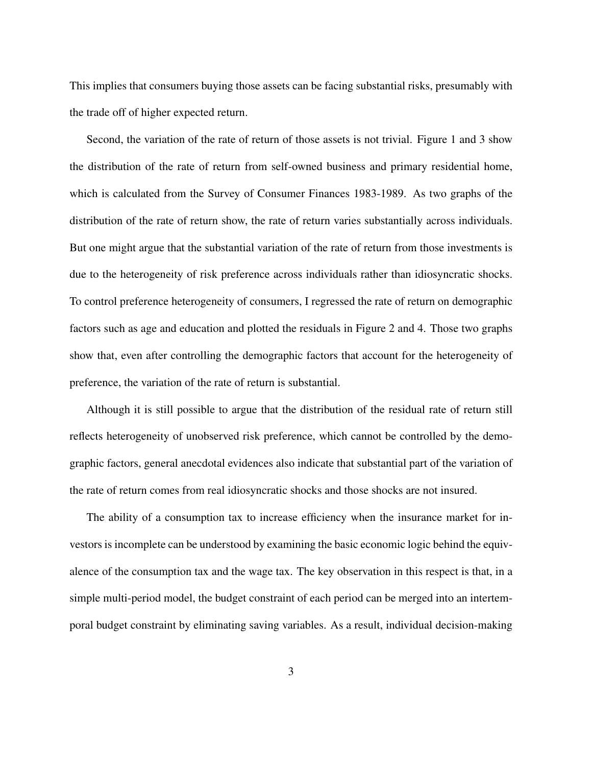This implies that consumers buying those assets can be facing substantial risks, presumably with the trade off of higher expected return.

Second, the variation of the rate of return of those assets is not trivial. Figure 1 and 3 show the distribution of the rate of return from self-owned business and primary residential home, which is calculated from the Survey of Consumer Finances 1983-1989. As two graphs of the distribution of the rate of return show, the rate of return varies substantially across individuals. But one might argue that the substantial variation of the rate of return from those investments is due to the heterogeneity of risk preference across individuals rather than idiosyncratic shocks. To control preference heterogeneity of consumers, I regressed the rate of return on demographic factors such as age and education and plotted the residuals in Figure 2 and 4. Those two graphs show that, even after controlling the demographic factors that account for the heterogeneity of preference, the variation of the rate of return is substantial.

Although it is still possible to argue that the distribution of the residual rate of return still reflects heterogeneity of unobserved risk preference, which cannot be controlled by the demographic factors, general anecdotal evidences also indicate that substantial part of the variation of the rate of return comes from real idiosyncratic shocks and those shocks are not insured.

The ability of a consumption tax to increase efficiency when the insurance market for investors is incomplete can be understood by examining the basic economic logic behind the equivalence of the consumption tax and the wage tax. The key observation in this respect is that, in a simple multi-period model, the budget constraint of each period can be merged into an intertemporal budget constraint by eliminating saving variables. As a result, individual decision-making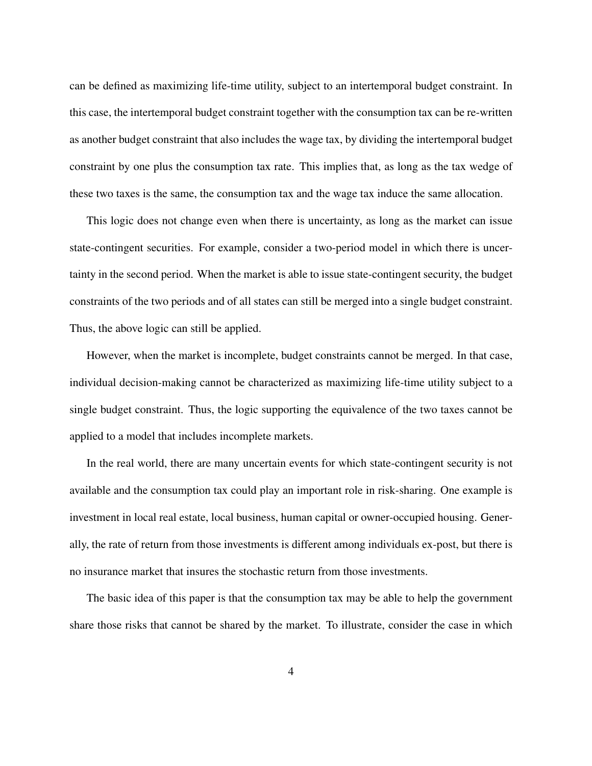can be defined as maximizing life-time utility, subject to an intertemporal budget constraint. In this case, the intertemporal budget constraint together with the consumption tax can be re-written as another budget constraint that also includes the wage tax, by dividing the intertemporal budget constraint by one plus the consumption tax rate. This implies that, as long as the tax wedge of these two taxes is the same, the consumption tax and the wage tax induce the same allocation.

This logic does not change even when there is uncertainty, as long as the market can issue state-contingent securities. For example, consider a two-period model in which there is uncertainty in the second period. When the market is able to issue state-contingent security, the budget constraints of the two periods and of all states can still be merged into a single budget constraint. Thus, the above logic can still be applied.

However, when the market is incomplete, budget constraints cannot be merged. In that case, individual decision-making cannot be characterized as maximizing life-time utility subject to a single budget constraint. Thus, the logic supporting the equivalence of the two taxes cannot be applied to a model that includes incomplete markets.

In the real world, there are many uncertain events for which state-contingent security is not available and the consumption tax could play an important role in risk-sharing. One example is investment in local real estate, local business, human capital or owner-occupied housing. Generally, the rate of return from those investments is different among individuals ex-post, but there is no insurance market that insures the stochastic return from those investments.

The basic idea of this paper is that the consumption tax may be able to help the government share those risks that cannot be shared by the market. To illustrate, consider the case in which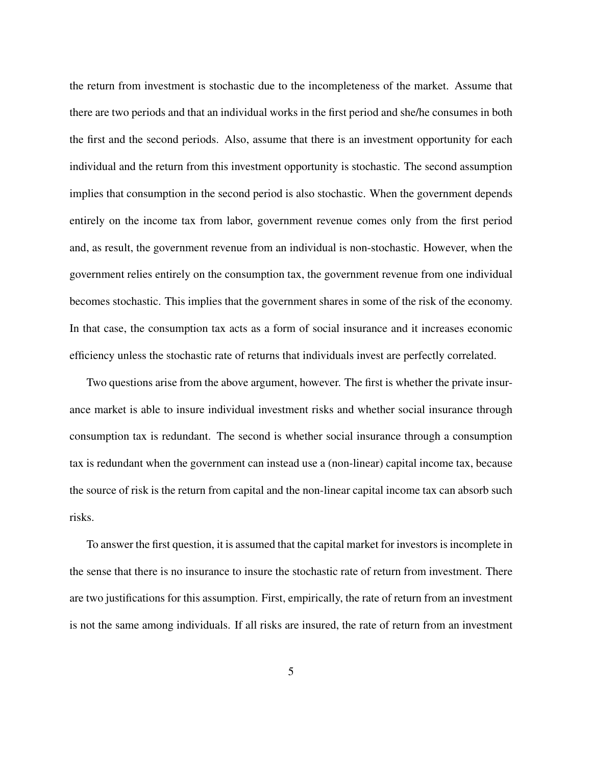the return from investment is stochastic due to the incompleteness of the market. Assume that there are two periods and that an individual works in the first period and she/he consumes in both the first and the second periods. Also, assume that there is an investment opportunity for each individual and the return from this investment opportunity is stochastic. The second assumption implies that consumption in the second period is also stochastic. When the government depends entirely on the income tax from labor, government revenue comes only from the first period and, as result, the government revenue from an individual is non-stochastic. However, when the government relies entirely on the consumption tax, the government revenue from one individual becomes stochastic. This implies that the government shares in some of the risk of the economy. In that case, the consumption tax acts as a form of social insurance and it increases economic efficiency unless the stochastic rate of returns that individuals invest are perfectly correlated.

Two questions arise from the above argument, however. The first is whether the private insurance market is able to insure individual investment risks and whether social insurance through consumption tax is redundant. The second is whether social insurance through a consumption tax is redundant when the government can instead use a (non-linear) capital income tax, because the source of risk is the return from capital and the non-linear capital income tax can absorb such risks.

To answer the first question, it is assumed that the capital market for investors is incomplete in the sense that there is no insurance to insure the stochastic rate of return from investment. There are two justifications for this assumption. First, empirically, the rate of return from an investment is not the same among individuals. If all risks are insured, the rate of return from an investment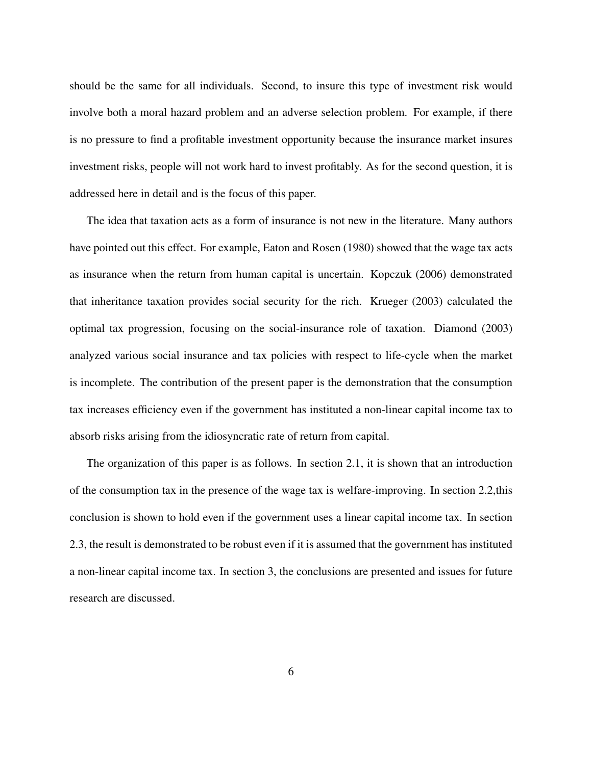should be the same for all individuals. Second, to insure this type of investment risk would involve both a moral hazard problem and an adverse selection problem. For example, if there is no pressure to find a profitable investment opportunity because the insurance market insures investment risks, people will not work hard to invest profitably. As for the second question, it is addressed here in detail and is the focus of this paper.

The idea that taxation acts as a form of insurance is not new in the literature. Many authors have pointed out this effect. For example, Eaton and Rosen (1980) showed that the wage tax acts as insurance when the return from human capital is uncertain. Kopczuk (2006) demonstrated that inheritance taxation provides social security for the rich. Krueger (2003) calculated the optimal tax progression, focusing on the social-insurance role of taxation. Diamond (2003) analyzed various social insurance and tax policies with respect to life-cycle when the market is incomplete. The contribution of the present paper is the demonstration that the consumption tax increases efficiency even if the government has instituted a non-linear capital income tax to absorb risks arising from the idiosyncratic rate of return from capital.

The organization of this paper is as follows. In section 2.1, it is shown that an introduction of the consumption tax in the presence of the wage tax is welfare-improving. In section 2.2,this conclusion is shown to hold even if the government uses a linear capital income tax. In section 2.3, the result is demonstrated to be robust even if it is assumed that the government has instituted a non-linear capital income tax. In section 3, the conclusions are presented and issues for future research are discussed.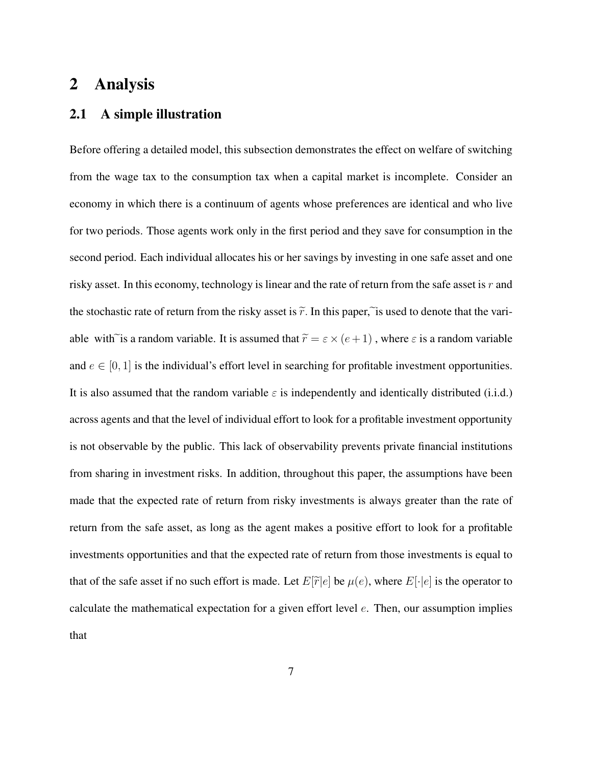## 2 Analysis

### 2.1 A simple illustration

Before offering a detailed model, this subsection demonstrates the effect on welfare of switching from the wage tax to the consumption tax when a capital market is incomplete. Consider an economy in which there is a continuum of agents whose preferences are identical and who live for two periods. Those agents work only in the first period and they save for consumption in the second period. Each individual allocates his or her savings by investing in one safe asset and one risky asset. In this economy, technology is linear and the rate of return from the safe asset is  $r$  and the stochastic rate of return from the risky asset is  $\tilde{r}$ . In this paper, is used to denote that the variable with is a random variable. It is assumed that  $\tilde{r} = \varepsilon \times (e+1)$ , where  $\varepsilon$  is a random variable and  $e \in [0, 1]$  is the individual's effort level in searching for profitable investment opportunities. It is also assumed that the random variable  $\varepsilon$  is independently and identically distributed (i.i.d.) across agents and that the level of individual effort to look for a profitable investment opportunity is not observable by the public. This lack of observability prevents private financial institutions from sharing in investment risks. In addition, throughout this paper, the assumptions have been made that the expected rate of return from risky investments is always greater than the rate of return from the safe asset, as long as the agent makes a positive effort to look for a profitable investments opportunities and that the expected rate of return from those investments is equal to that of the safe asset if no such effort is made. Let  $E[\tilde{r}|e]$  be  $\mu(e)$ , where  $E[\cdot|e]$  is the operator to calculate the mathematical expectation for a given effort level  $e$ . Then, our assumption implies that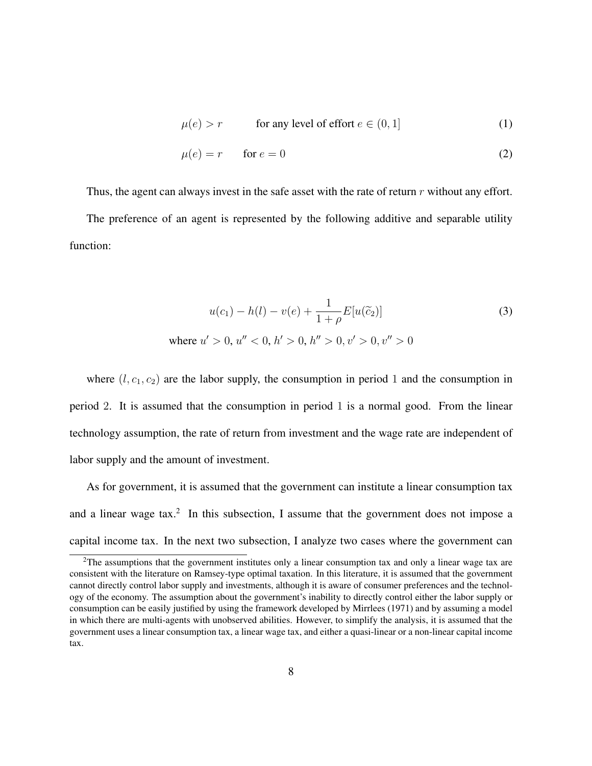$$
\mu(e) > r \qquad \text{for any level of effort } e \in (0, 1] \tag{1}
$$

$$
\mu(e) = r \qquad \text{for } e = 0 \tag{2}
$$

Thus, the agent can always invest in the safe asset with the rate of return  $r$  without any effort. The preference of an agent is represented by the following additive and separable utility function:

$$
u(c_1) - h(l) - v(e) + \frac{1}{1+\rho} E[u(\tilde{c}_2)]
$$
  
where  $u' > 0$ ,  $u'' < 0$ ,  $h' > 0$ ,  $h'' > 0$ ,  $v' > 0$ ,  $v'' > 0$  (3)

where  $(l, c_1, c_2)$  are the labor supply, the consumption in period 1 and the consumption in period 2. It is assumed that the consumption in period 1 is a normal good. From the linear technology assumption, the rate of return from investment and the wage rate are independent of labor supply and the amount of investment.

As for government, it is assumed that the government can institute a linear consumption tax and a linear wage  $tax.^2$  In this subsection, I assume that the government does not impose a capital income tax. In the next two subsection, I analyze two cases where the government can

 $2$ The assumptions that the government institutes only a linear consumption tax and only a linear wage tax are consistent with the literature on Ramsey-type optimal taxation. In this literature, it is assumed that the government cannot directly control labor supply and investments, although it is aware of consumer preferences and the technology of the economy. The assumption about the government's inability to directly control either the labor supply or consumption can be easily justified by using the framework developed by Mirrlees (1971) and by assuming a model in which there are multi-agents with unobserved abilities. However, to simplify the analysis, it is assumed that the government uses a linear consumption tax, a linear wage tax, and either a quasi-linear or a non-linear capital income tax.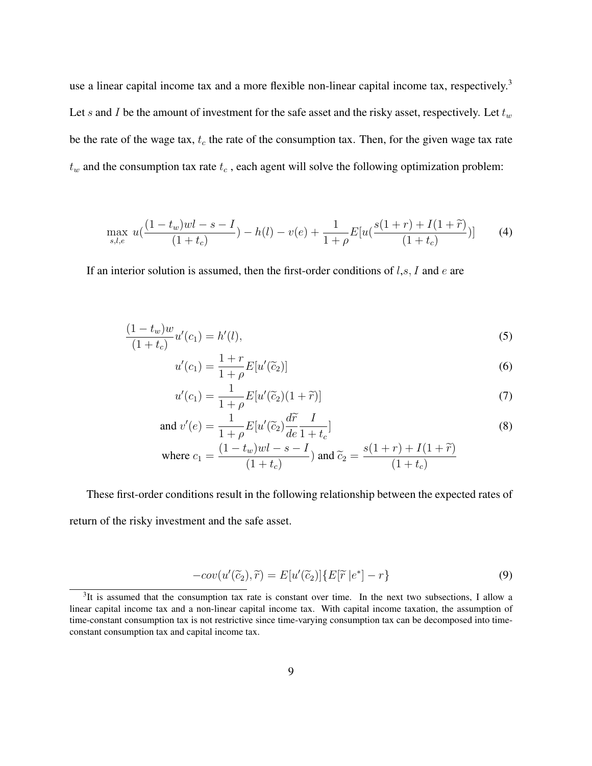use a linear capital income tax and a more flexible non-linear capital income tax, respectively.<sup>3</sup> Let s and I be the amount of investment for the safe asset and the risky asset, respectively. Let  $t_w$ be the rate of the wage tax,  $t_c$  the rate of the consumption tax. Then, for the given wage tax rate  $t_w$  and the consumption tax rate  $t_c$ , each agent will solve the following optimization problem:

$$
\max_{s,l,e} u\left(\frac{(1-t_w)wl - s - I}{(1+t_c)}\right) - h(l) - v(e) + \frac{1}{1+\rho} E[u\left(\frac{s(1+r) + I(1+\tilde{r})}{(1+t_c)}\right)] \tag{4}
$$

If an interior solution is assumed, then the first-order conditions of  $l,s, I$  and  $e$  are

$$
\frac{(1 - t_w)w}{(1 + t_c)}u'(c_1) = h'(l),\tag{5}
$$

$$
u'(c_1) = \frac{1+r}{1+\rho} E[u'(\tilde{c}_2)]
$$
\n(6)

$$
u'(c_1) = \frac{1}{1+\rho} E[u'(\widetilde{c}_2)(1+\widetilde{r})]
$$
\n(7)

and 
$$
v'(e) = \frac{1}{1+\rho} E[u'(\tilde{c}_2) \frac{d\tilde{r}}{de} \frac{I}{1+t_c}]
$$
\nwhere 
$$
c_1 = \frac{(1-t_w)wl - s - I}{(1+t_c)} \text{ and } \tilde{c}_2 = \frac{s(1+r) + I(1+\tilde{r})}{(1+t_c)}
$$
\n(8)

where 
$$
c_1 = \frac{(1 - \nu_w)\omega v - \nu_z}{(1 + t_c)}
$$
 and  $\tilde{c}_2 = \frac{\nu_1 + \nu_2 + \nu_3 + \nu_4 + \nu_5}{(1 + t_c)}$ 

These first-order conditions result in the following relationship between the expected rates of return of the risky investment and the safe asset.

$$
-cov(u'(\widetilde{c}_2), \widetilde{r}) = E[u'(\widetilde{c}_2)]\{E[\widetilde{r} | e^*] - r\}
$$
\n(9)

 $3$ It is assumed that the consumption tax rate is constant over time. In the next two subsections, I allow a linear capital income tax and a non-linear capital income tax. With capital income taxation, the assumption of time-constant consumption tax is not restrictive since time-varying consumption tax can be decomposed into timeconstant consumption tax and capital income tax.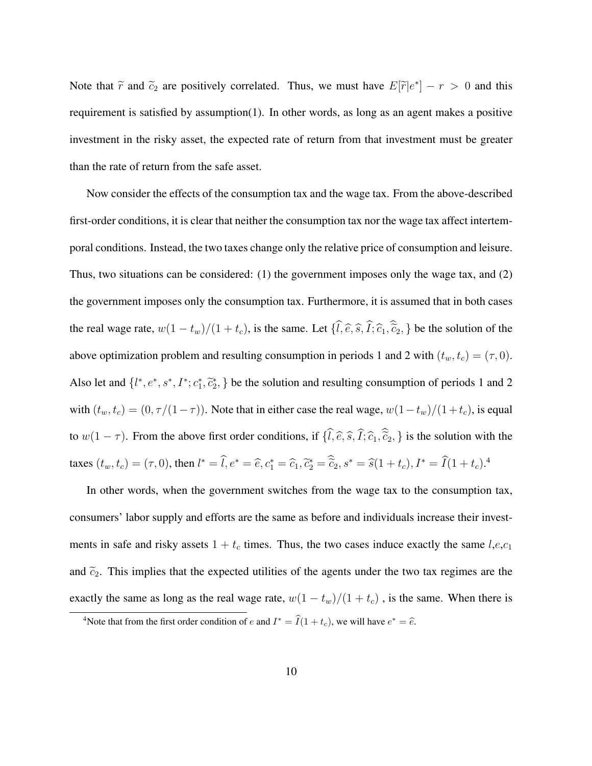Note that  $\tilde{r}$  and  $\tilde{c}_2$  are positively correlated. Thus, we must have  $E[\tilde{r}|e^*]-r>0$  and this requirement is satisfied by assumption(1). In other words, as long as an agent makes a positive investment in the risky asset, the expected rate of return from that investment must be greater than the rate of return from the safe asset.

Now consider the effects of the consumption tax and the wage tax. From the above-described first-order conditions, it is clear that neither the consumption tax nor the wage tax affect intertemporal conditions. Instead, the two taxes change only the relative price of consumption and leisure. Thus, two situations can be considered: (1) the government imposes only the wage tax, and (2) the government imposes only the consumption tax. Furthermore, it is assumed that in both cases the real wage rate,  $w(1-t_w)/(1+t_c)$ , is the same. Let  $\{l, \hat{e}, \hat{s}, I; \hat{c}_1, \tilde{c}_2, \}$  be the solution of the above optimization problem and resulting consumption in periods 1 and 2 with  $(t_w, t_c) = (\tau, 0)$ . Also let and  $\{l^*, e^*, s^*, I^*, c_1^*, \tilde{c}_2^*, \}$  be the solution and resulting consumption of periods 1 and 2 with  $(t_w, t_c) = (0, \tau/(1-\tau))$ . Note that in either case the real wage,  $w(1-t_w)/(1+t_c)$ , is equal to  $w(1-\tau)$ . From the above first order conditions, if  $\{l, \hat{e}, \hat{s}, I; \hat{c}_1, \tilde{c}_2, \}$  is the solution with the taxes  $(t_w, t_c) = (\tau, 0)$ , then  $l^* = \hat{l}, e^* = \hat{e}, c_1^* = \hat{c}_1, \tilde{c}_2^* = \tilde{c}_2, s^* = \hat{s}(1 + t_c), I^* = \hat{I}(1 + t_c).$ <sup>4</sup>

In other words, when the government switches from the wage tax to the consumption tax, consumers' labor supply and efforts are the same as before and individuals increase their investments in safe and risky assets  $1 + t_c$  times. Thus, the two cases induce exactly the same  $l, e, c_1$ and  $\tilde{c}_2$ . This implies that the expected utilities of the agents under the two tax regimes are the exactly the same as long as the real wage rate,  $w(1 - t_w)/(1 + t_c)$ , is the same. When there is

<sup>&</sup>lt;sup>4</sup>Note that from the first order condition of *e* and  $I^* = \hat{I}(1 + t_c)$ , we will have  $e^* = \hat{e}$ .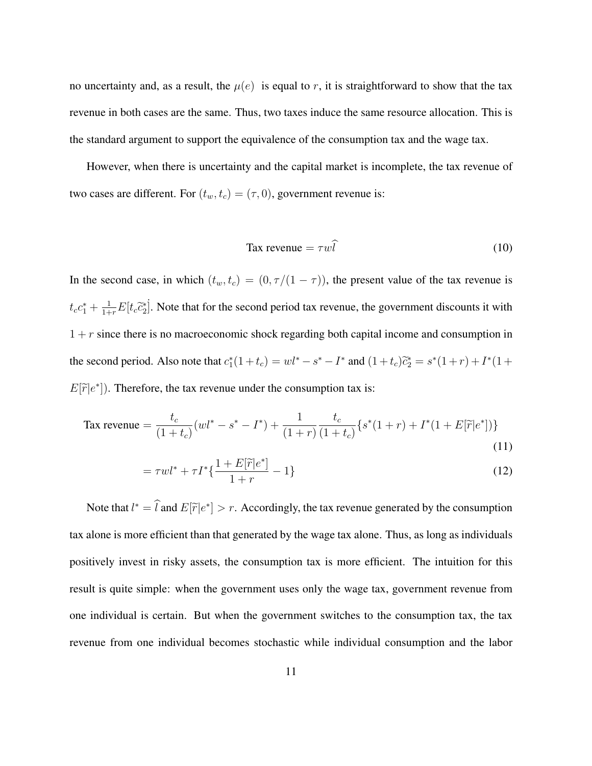no uncertainty and, as a result, the  $\mu(e)$  is equal to r, it is straightforward to show that the tax revenue in both cases are the same. Thus, two taxes induce the same resource allocation. This is the standard argument to support the equivalence of the consumption tax and the wage tax.

However, when there is uncertainty and the capital market is incomplete, the tax revenue of two cases are different. For  $(t_w, t_c) = (\tau, 0)$ , government revenue is:

$$
\text{Tax revenue} = \tau w \hat{l} \tag{10}
$$

In the second case, in which  $(t_w, t_c) = (0, \tau/(1 - \tau))$ , the present value of the tax revenue is  $t_c c_1^* + \frac{1}{1+r} E[t_c \tilde{c}_2^*]$ . Note that for the second period tax revenue, the government discounts it with  $1 + r$  since there is no macroeconomic shock regarding both capital income and consumption in the second period. Also note that  $c_1^*(1+t_c) = w l^* - s^* - I^*$  and  $(1+t_c)\tilde{c}_2^* = s^*(1+r) + I^*(1+r_c)$  $E[\tilde{r}|e^*]$ ). Therefore, the tax revenue under the consumption tax is:

$$
\text{Tax revenue} = \frac{t_c}{(1+t_c)} (wl^* - s^* - I^*) + \frac{1}{(1+r)} \frac{t_c}{(1+t_c)} \{s^*(1+r) + I^*(1 + E[\tilde{r}|e^*])\}
$$
\n
$$
\tag{11}
$$

$$
= \tau w l^* + \tau I^* \{ \frac{1 + E[\tilde{r}|e^*]}{1+r} - 1 \}
$$
\n(12)

Note that  $l^* = \hat{l}$  and  $E[\tilde{r}|e^*] > r$ . Accordingly, the tax revenue generated by the consumption tax alone is more efficient than that generated by the wage tax alone. Thus, as long as individuals positively invest in risky assets, the consumption tax is more efficient. The intuition for this result is quite simple: when the government uses only the wage tax, government revenue from one individual is certain. But when the government switches to the consumption tax, the tax revenue from one individual becomes stochastic while individual consumption and the labor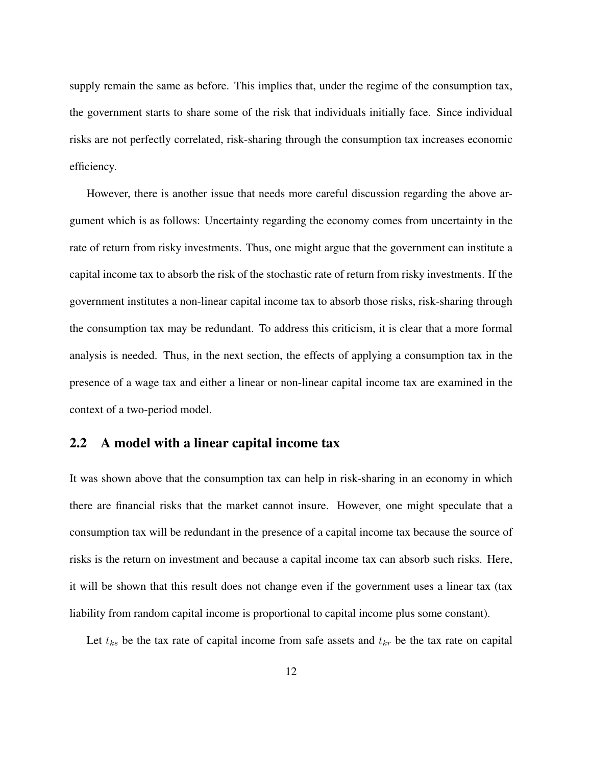supply remain the same as before. This implies that, under the regime of the consumption tax, the government starts to share some of the risk that individuals initially face. Since individual risks are not perfectly correlated, risk-sharing through the consumption tax increases economic efficiency.

However, there is another issue that needs more careful discussion regarding the above argument which is as follows: Uncertainty regarding the economy comes from uncertainty in the rate of return from risky investments. Thus, one might argue that the government can institute a capital income tax to absorb the risk of the stochastic rate of return from risky investments. If the government institutes a non-linear capital income tax to absorb those risks, risk-sharing through the consumption tax may be redundant. To address this criticism, it is clear that a more formal analysis is needed. Thus, in the next section, the effects of applying a consumption tax in the presence of a wage tax and either a linear or non-linear capital income tax are examined in the context of a two-period model.

### 2.2 A model with a linear capital income tax

It was shown above that the consumption tax can help in risk-sharing in an economy in which there are financial risks that the market cannot insure. However, one might speculate that a consumption tax will be redundant in the presence of a capital income tax because the source of risks is the return on investment and because a capital income tax can absorb such risks. Here, it will be shown that this result does not change even if the government uses a linear tax (tax liability from random capital income is proportional to capital income plus some constant).

Let  $t_{ks}$  be the tax rate of capital income from safe assets and  $t_{kr}$  be the tax rate on capital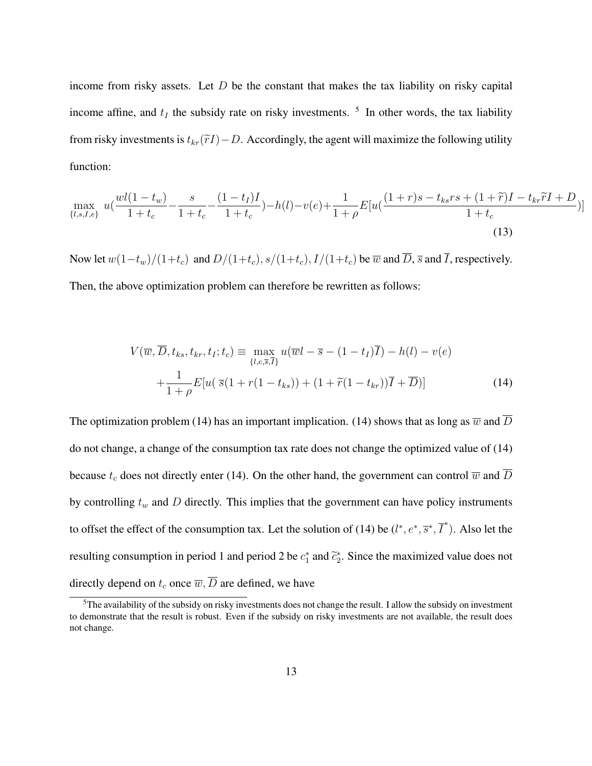income from risky assets. Let  $D$  be the constant that makes the tax liability on risky capital income affine, and  $t_I$  the subsidy rate on risky investments. <sup>5</sup> In other words, the tax liability from risky investments is  $t_{kr}(\widetilde{r}I)-D$ . Accordingly, the agent will maximize the following utility function:

$$
\max_{\{l,s,I,e\}} u(\frac{wl(1-t_w)}{1+t_c} - \frac{s}{1+t_c} - \frac{(1-t_I)I}{1+t_c}) - h(l) - v(e) + \frac{1}{1+\rho} E[u(\frac{(1+r)s - t_{ks}rs + (1+\tilde{r})I - t_{kr}\tilde{r}I + D}{1+t_c})]
$$
\n(13)

Now let  $w(1-t_w)/(1+t_c)$  and  $D/(1+t_c)$ ,  $s/(1+t_c)$ ,  $I/(1+t_c)$  be  $\overline{w}$  and  $\overline{D}$ ,  $\overline{s}$  and  $\overline{I}$ , respectively. Then, the above optimization problem can therefore be rewritten as follows:

$$
V(\overline{w}, \overline{D}, t_{ks}, t_{kr}, t_I; t_c) \equiv \max_{\{l, e, \overline{s}, \overline{I}\}} u(\overline{w}l - \overline{s} - (1 - t_I)\overline{I}) - h(l) - v(e) + \frac{1}{1 + \rho} E[u(\overline{s}(1 + r(1 - t_{ks})) + (1 + \widetilde{r}(1 - t_{kr}))\overline{I} + \overline{D})]
$$
(14)

The optimization problem (14) has an important implication. (14) shows that as long as  $\overline{w}$  and  $\overline{D}$ do not change, a change of the consumption tax rate does not change the optimized value of (14) because  $t_c$  does not directly enter (14). On the other hand, the government can control  $\overline{w}$  and  $\overline{D}$ by controlling  $t_w$  and  $D$  directly. This implies that the government can have policy instruments to offset the effect of the consumption tax. Let the solution of (14) be  $(l^*, e^*, \overline{s}^*, \overline{I}^*)$ . Also let the resulting consumption in period 1 and period 2 be  $c_1^*$  and  $\tilde{c}_2^*$ . Since the maximized value does not directly depend on  $t_c$  once  $\overline{w}, \overline{D}$  are defined, we have

<sup>5</sup>The availability of the subsidy on risky investments does not change the result. I allow the subsidy on investment to demonstrate that the result is robust. Even if the subsidy on risky investments are not available, the result does not change.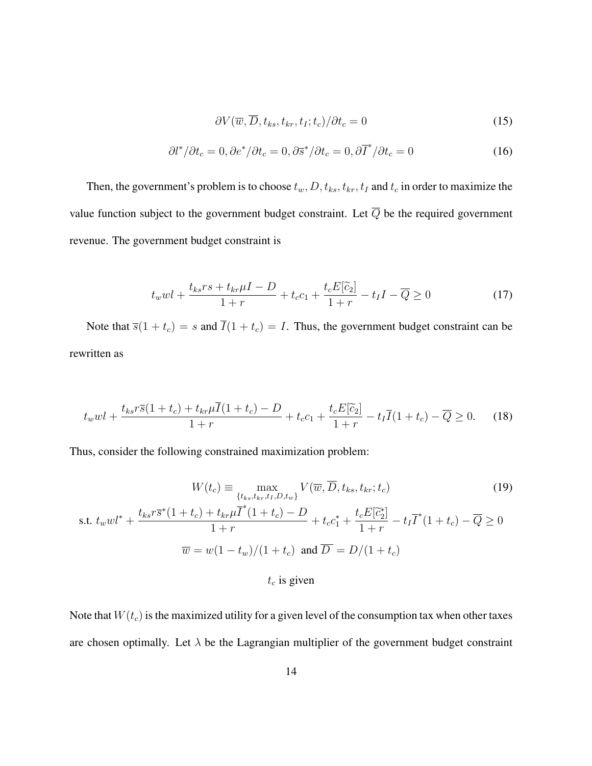$$
\partial V(\overline{w}, \overline{D}, t_{ks}, t_{kr}, t_I; t_c) / \partial t_c = 0 \tag{15}
$$

$$
\frac{\partial l^*}{\partial t_c} = 0, \frac{\partial e^*}{\partial t_c} = 0, \frac{\partial \overline{s}^*}{\partial t_c} = 0, \frac{\partial \overline{l}^*}{\partial t_c} = 0 \tag{16}
$$

Then, the government's problem is to choose  $t_w$ ,  $D$ ,  $t_{ks}$ ,  $t_{kr}$ ,  $t_I$  and  $t_c$  in order to maximize the value function subject to the government budget constraint. Let  $\overline{Q}$  be the required government revenue. The government budget constraint is

$$
t_wwl + \frac{t_{ks}rs + t_{kr}\mu I - D}{1+r} + t_c c_1 + \frac{t_cE[\tilde{c}_2]}{1+r} - t_I I - \overline{Q} \ge 0
$$
 (17)

Note that  $\overline{s}(1 + t_c) = s$  and  $\overline{I}(1 + t_c) = I$ . Thus, the government budget constraint can be rewritten as

$$
t_wwl + \frac{t_{ks}r\overline{s}(1+t_c) + t_{kr}\mu\overline{I}(1+t_c) - D}{1+r} + t_c c_1 + \frac{t_cE[\widetilde{c}_2]}{1+r} - t_I\overline{I}(1+t_c) - \overline{Q} \ge 0.
$$
 (18)

Thus, consider the following constrained maximization problem:

$$
W(t_c) \equiv \max_{\{t_{ks}, t_{kr}, t_I, D, t_w\}} V(\overline{w}, \overline{D}, t_{ks}, t_{kr}; t_c)
$$
(19)  
s.t. 
$$
t_w w l^* + \frac{t_{ks} r \overline{s}^* (1 + t_c) + t_{kr} \mu \overline{I}^* (1 + t_c) - D}{1 + r} + t_c c_1^* + \frac{t_c E[\tilde{c}_2^*]}{1 + r} - t_I \overline{I}^* (1 + t_c) - \overline{Q} \ge 0
$$

$$
\overline{w} = w(1 - t_w)/(1 + t_c) \text{ and } \overline{D} = D/(1 + t_c)
$$

$$
t_c \text{ is given}
$$

Note that  $W(t_c)$  is the maximized utility for a given level of the consumption tax when other taxes are chosen optimally. Let  $\lambda$  be the Lagrangian multiplier of the government budget constraint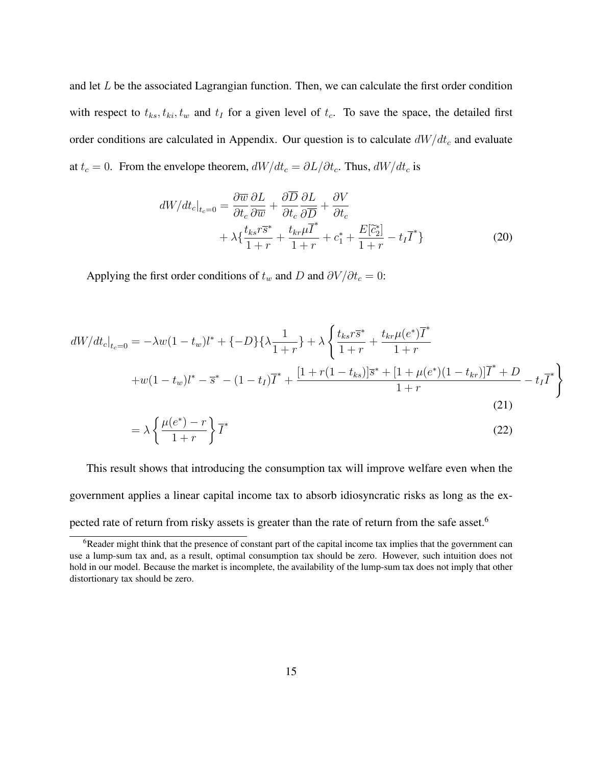and let  $L$  be the associated Lagrangian function. Then, we can calculate the first order condition with respect to  $t_{ks}$ ,  $t_{ki}$ ,  $t_w$  and  $t_I$  for a given level of  $t_c$ . To save the space, the detailed first order conditions are calculated in Appendix. Our question is to calculate  $dW/dt_c$  and evaluate at  $t_c = 0$ . From the envelope theorem,  $dW/dt_c = \partial L/\partial t_c$ . Thus,  $dW/dt_c$  is

$$
dW/dt_c|_{t_c=0} = \frac{\partial \overline{w}}{\partial t_c} \frac{\partial L}{\partial \overline{w}} + \frac{\partial \overline{D}}{\partial t_c} \frac{\partial L}{\partial \overline{D}} + \frac{\partial V}{\partial t_c} + \lambda \{ \frac{t_{ks}r\overline{s}^*}{1+r} + \frac{t_{kr}\mu \overline{I}^*}{1+r} + c_1^* + \frac{E[\overline{c}_2^*]}{1+r} - t_I \overline{I}^* \}
$$
(20)

Applying the first order conditions of  $t_w$  and D and  $\partial V/\partial t_c = 0$ :

$$
dW/dt_c|_{t_c=0} = -\lambda w(1 - t_w)l^* + \{-D\}\{\lambda \frac{1}{1+r}\} + \lambda \left\{ \frac{t_{ks}r\overline{s}^*}{1+r} + \frac{t_{kr}\mu(e^*)\overline{I}^*}{1+r} + w(1 - t_w)l^* - \overline{s}^* - (1 - t_I)\overline{I}^* + \frac{[1 + r(1 - t_{ks})]\overline{s}^* + [1 + \mu(e^*)(1 - t_{kr})]\overline{I}^* + D}{1+r} - t_I\overline{I}^* \right\}
$$
  

$$
= \lambda \left\{ \frac{\mu(e^*) - r}{1+r} \right\} \overline{I}^*
$$
(22)

This result shows that introducing the consumption tax will improve welfare even when the government applies a linear capital income tax to absorb idiosyncratic risks as long as the expected rate of return from risky assets is greater than the rate of return from the safe asset.<sup>6</sup>

 $6R$ eader might think that the presence of constant part of the capital income tax implies that the government can use a lump-sum tax and, as a result, optimal consumption tax should be zero. However, such intuition does not hold in our model. Because the market is incomplete, the availability of the lump-sum tax does not imply that other distortionary tax should be zero.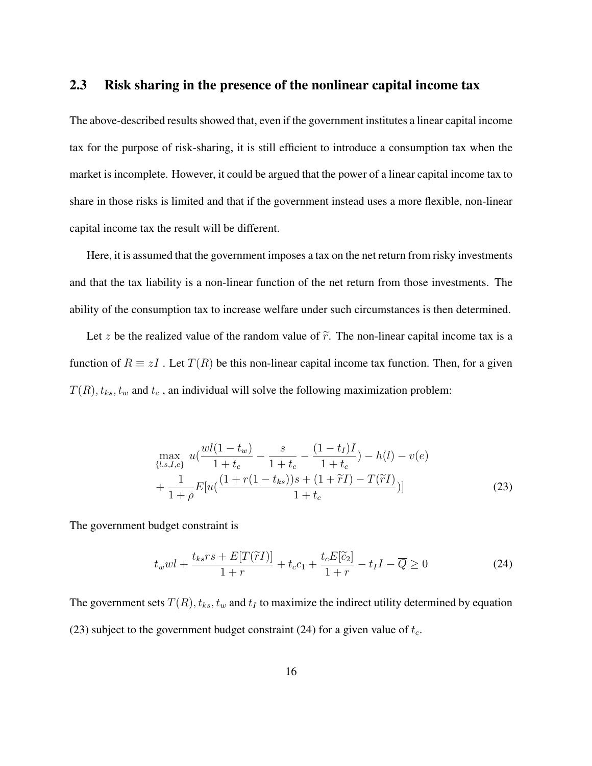### 2.3 Risk sharing in the presence of the nonlinear capital income tax

The above-described results showed that, even if the government institutes a linear capital income tax for the purpose of risk-sharing, it is still efficient to introduce a consumption tax when the market is incomplete. However, it could be argued that the power of a linear capital income tax to share in those risks is limited and that if the government instead uses a more flexible, non-linear capital income tax the result will be different.

Here, it is assumed that the government imposes a tax on the net return from risky investments and that the tax liability is a non-linear function of the net return from those investments. The ability of the consumption tax to increase welfare under such circumstances is then determined.

Let z be the realized value of the random value of  $\tilde{r}$ . The non-linear capital income tax is a function of  $R \equiv zI$ . Let  $T(R)$  be this non-linear capital income tax function. Then, for a given  $T(R)$ ,  $t_{ks}$ ,  $t_w$  and  $t_c$ , an individual will solve the following maximization problem:

$$
\max_{\{l,s,I,e\}} u\left(\frac{wl(1-t_w)}{1+t_c} - \frac{s}{1+t_c} - \frac{(1-t_I)I}{1+t_c}\right) - h(l) - v(e) + \frac{1}{1+\rho} E[u\left(\frac{(1+r(1-t_{ks}))s + (1+\tilde{r}I) - T(\tilde{r}I)}{1+t_c}\right)]
$$
(23)

The government budget constraint is

$$
t_wwl + \frac{t_{ks}rs + E[T(\tilde{r}I)]}{1+r} + t_cc_1 + \frac{t_cE[\tilde{c}_2]}{1+r} - t_I I - \overline{Q} \ge 0
$$
\n(24)

The government sets  $T(R)$ ,  $t_{ks}$ ,  $t_w$  and  $t_I$  to maximize the indirect utility determined by equation (23) subject to the government budget constraint (24) for a given value of  $t_c$ .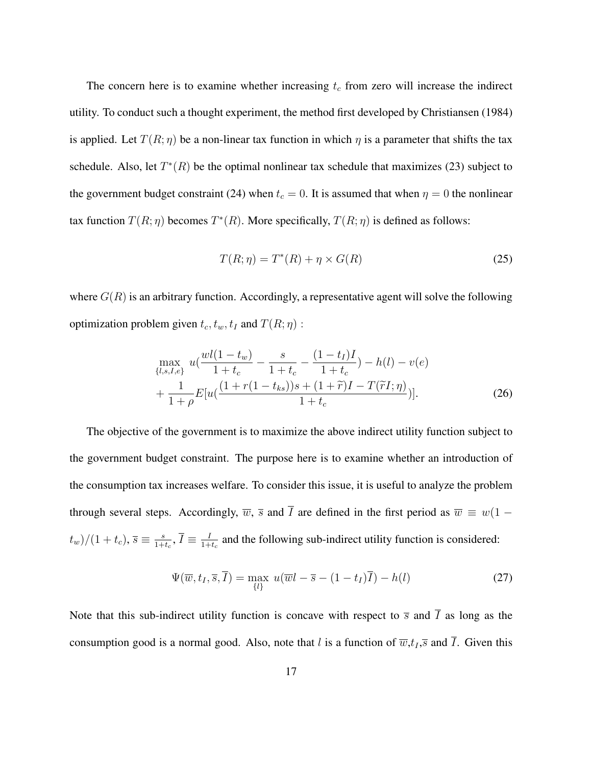The concern here is to examine whether increasing  $t_c$  from zero will increase the indirect utility. To conduct such a thought experiment, the method first developed by Christiansen (1984) is applied. Let  $T(R; \eta)$  be a non-linear tax function in which  $\eta$  is a parameter that shifts the tax schedule. Also, let  $T^*(R)$  be the optimal nonlinear tax schedule that maximizes (23) subject to the government budget constraint (24) when  $t_c = 0$ . It is assumed that when  $\eta = 0$  the nonlinear tax function  $T(R;\eta)$  becomes  $T^*(R)$ . More specifically,  $T(R;\eta)$  is defined as follows:

$$
T(R; \eta) = T^*(R) + \eta \times G(R)
$$
\n<sup>(25)</sup>

where  $G(R)$  is an arbitrary function. Accordingly, a representative agent will solve the following optimization problem given  $t_c$ ,  $t_w$ ,  $t_I$  and  $T(R; \eta)$ :

$$
\max_{\{l,s,I,e\}} u\left(\frac{wl(1-t_w)}{1+t_c} - \frac{s}{1+t_c} - \frac{(1-t_I)I}{1+t_c}\right) - h(l) - v(e) + \frac{1}{1+\rho} E[u\left(\frac{(1+r(1-t_{ks}))s + (1+\tilde{r})I - T(\tilde{r}I;\eta)}{1+t_c}\right)].
$$
\n(26)

The objective of the government is to maximize the above indirect utility function subject to the government budget constraint. The purpose here is to examine whether an introduction of the consumption tax increases welfare. To consider this issue, it is useful to analyze the problem through several steps. Accordingly,  $\overline{w}$ ,  $\overline{s}$  and  $\overline{I}$  are defined in the first period as  $\overline{w} \equiv w(1 (t_w)/(1+t_c)$ ,  $\overline{s} \equiv \frac{s}{1+t_c}$  $\frac{s}{1+t_c}, \overline{I} \equiv \frac{I}{1+}$  $\frac{1}{1+t_c}$  and the following sub-indirect utility function is considered:

$$
\Psi(\overline{w}, t_I, \overline{s}, \overline{I}) = \max_{\{l\}} u(\overline{w}l - \overline{s} - (1 - t_I)\overline{I}) - h(l)
$$
\n(27)

Note that this sub-indirect utility function is concave with respect to  $\overline{s}$  and  $\overline{I}$  as long as the consumption good is a normal good. Also, note that l is a function of  $\overline{w}$ ,  $t_1$ ,  $\overline{s}$  and  $\overline{I}$ . Given this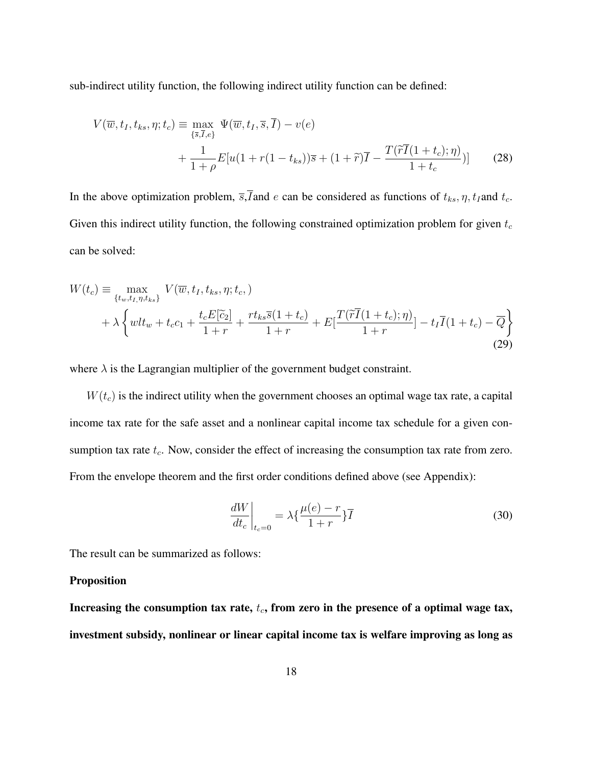sub-indirect utility function, the following indirect utility function can be defined:

$$
V(\overline{w}, t_I, t_{ks}, \eta; t_c) \equiv \max_{\{\overline{s}, \overline{I}, e\}} \Psi(\overline{w}, t_I, \overline{s}, \overline{I}) - v(e)
$$
  
+ 
$$
\frac{1}{1+\rho} E[u(1+r(1-t_{ks}))\overline{s} + (1+\widetilde{r})\overline{I} - \frac{T(\widetilde{r}\overline{I}(1+t_c); \eta)}{1+t_c})]
$$
(28)

In the above optimization problem,  $\overline{s}$ , $\overline{I}$  and e can be considered as functions of  $t_{ks}$ ,  $\eta$ ,  $t_I$  and  $t_c$ . Given this indirect utility function, the following constrained optimization problem for given  $t_c$ can be solved:

$$
W(t_c) \equiv \max_{\{t_w, t_I, \eta, t_{ks}\}} V(\overline{w}, t_I, t_{ks}, \eta; t_c, )
$$
  
+  $\lambda \left\{ w l t_w + t_c c_1 + \frac{t_c E[\widetilde{c}_2]}{1+r} + \frac{r t_{ks} \overline{s} (1+t_c)}{1+r} + E[\frac{T(\widetilde{r} \overline{I}(1+t_c); \eta)}{1+r}] - t_I \overline{I}(1+t_c) - \overline{Q} \right\}$  (29)

where  $\lambda$  is the Lagrangian multiplier of the government budget constraint.

 $W(t_c)$  is the indirect utility when the government chooses an optimal wage tax rate, a capital income tax rate for the safe asset and a nonlinear capital income tax schedule for a given consumption tax rate  $t_c$ . Now, consider the effect of increasing the consumption tax rate from zero. From the envelope theorem and the first order conditions defined above (see Appendix):

$$
\left. \frac{dW}{dt_c} \right|_{t_c=0} = \lambda \left\{ \frac{\mu(e) - r}{1+r} \right\} \overline{I}
$$
\n(30)

The result can be summarized as follows:

#### **Proposition**

Increasing the consumption tax rate,  $t_c$ , from zero in the presence of a optimal wage tax, investment subsidy, nonlinear or linear capital income tax is welfare improving as long as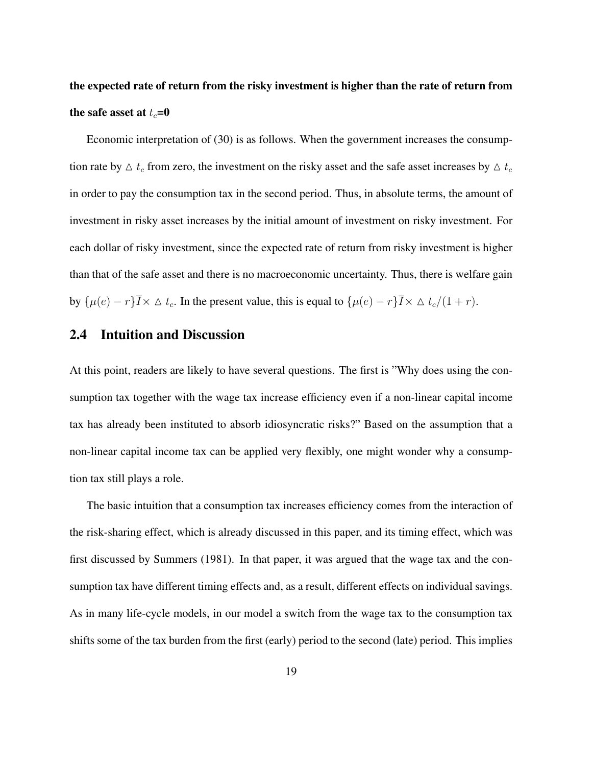## the expected rate of return from the risky investment is higher than the rate of return from the safe asset at  $t_c=0$

Economic interpretation of (30) is as follows. When the government increases the consumption rate by  $\Delta t_c$  from zero, the investment on the risky asset and the safe asset increases by  $\Delta t_c$ in order to pay the consumption tax in the second period. Thus, in absolute terms, the amount of investment in risky asset increases by the initial amount of investment on risky investment. For each dollar of risky investment, since the expected rate of return from risky investment is higher than that of the safe asset and there is no macroeconomic uncertainty. Thus, there is welfare gain by  $\{\mu(e) - r\}\overline{I} \times \Delta t_c$ . In the present value, this is equal to  $\{\mu(e) - r\}\overline{I} \times \Delta t_c/(1 + r)$ .

### 2.4 Intuition and Discussion

At this point, readers are likely to have several questions. The first is "Why does using the consumption tax together with the wage tax increase efficiency even if a non-linear capital income tax has already been instituted to absorb idiosyncratic risks?" Based on the assumption that a non-linear capital income tax can be applied very flexibly, one might wonder why a consumption tax still plays a role.

The basic intuition that a consumption tax increases efficiency comes from the interaction of the risk-sharing effect, which is already discussed in this paper, and its timing effect, which was first discussed by Summers (1981). In that paper, it was argued that the wage tax and the consumption tax have different timing effects and, as a result, different effects on individual savings. As in many life-cycle models, in our model a switch from the wage tax to the consumption tax shifts some of the tax burden from the first (early) period to the second (late) period. This implies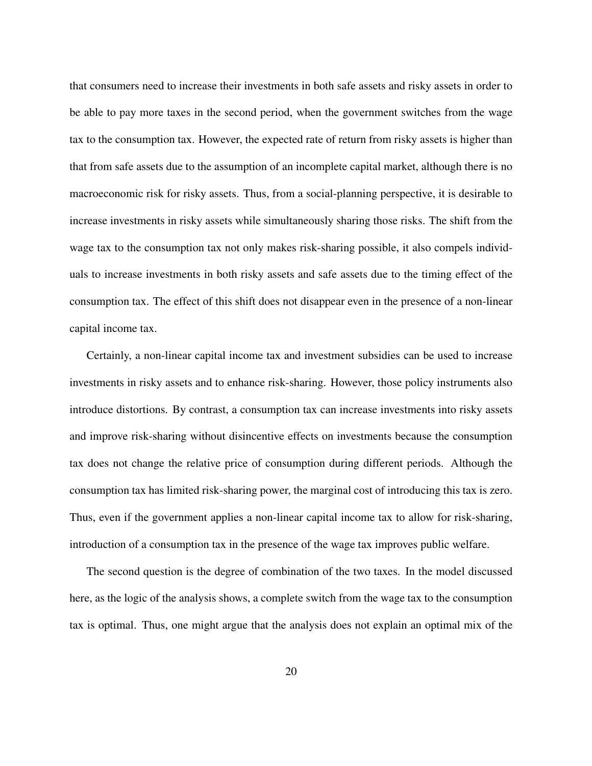that consumers need to increase their investments in both safe assets and risky assets in order to be able to pay more taxes in the second period, when the government switches from the wage tax to the consumption tax. However, the expected rate of return from risky assets is higher than that from safe assets due to the assumption of an incomplete capital market, although there is no macroeconomic risk for risky assets. Thus, from a social-planning perspective, it is desirable to increase investments in risky assets while simultaneously sharing those risks. The shift from the wage tax to the consumption tax not only makes risk-sharing possible, it also compels individuals to increase investments in both risky assets and safe assets due to the timing effect of the consumption tax. The effect of this shift does not disappear even in the presence of a non-linear capital income tax.

Certainly, a non-linear capital income tax and investment subsidies can be used to increase investments in risky assets and to enhance risk-sharing. However, those policy instruments also introduce distortions. By contrast, a consumption tax can increase investments into risky assets and improve risk-sharing without disincentive effects on investments because the consumption tax does not change the relative price of consumption during different periods. Although the consumption tax has limited risk-sharing power, the marginal cost of introducing this tax is zero. Thus, even if the government applies a non-linear capital income tax to allow for risk-sharing, introduction of a consumption tax in the presence of the wage tax improves public welfare.

The second question is the degree of combination of the two taxes. In the model discussed here, as the logic of the analysis shows, a complete switch from the wage tax to the consumption tax is optimal. Thus, one might argue that the analysis does not explain an optimal mix of the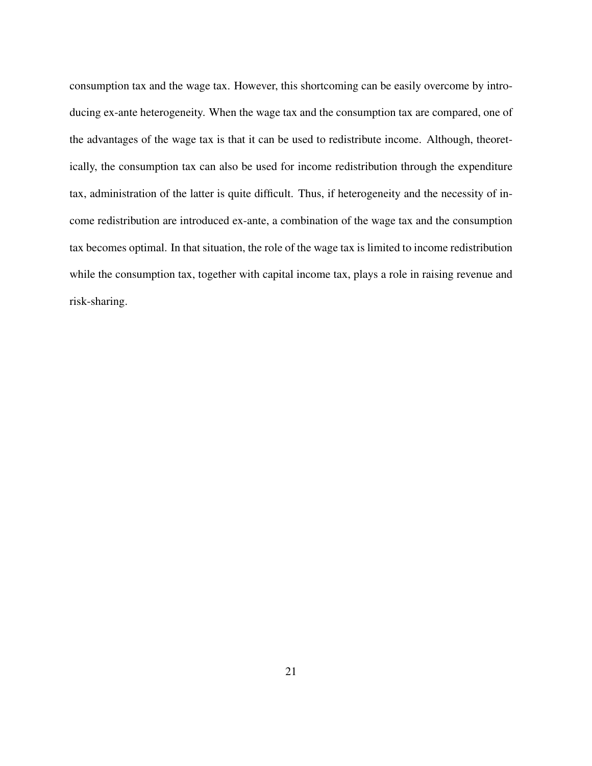consumption tax and the wage tax. However, this shortcoming can be easily overcome by introducing ex-ante heterogeneity. When the wage tax and the consumption tax are compared, one of the advantages of the wage tax is that it can be used to redistribute income. Although, theoretically, the consumption tax can also be used for income redistribution through the expenditure tax, administration of the latter is quite difficult. Thus, if heterogeneity and the necessity of income redistribution are introduced ex-ante, a combination of the wage tax and the consumption tax becomes optimal. In that situation, the role of the wage tax is limited to income redistribution while the consumption tax, together with capital income tax, plays a role in raising revenue and risk-sharing.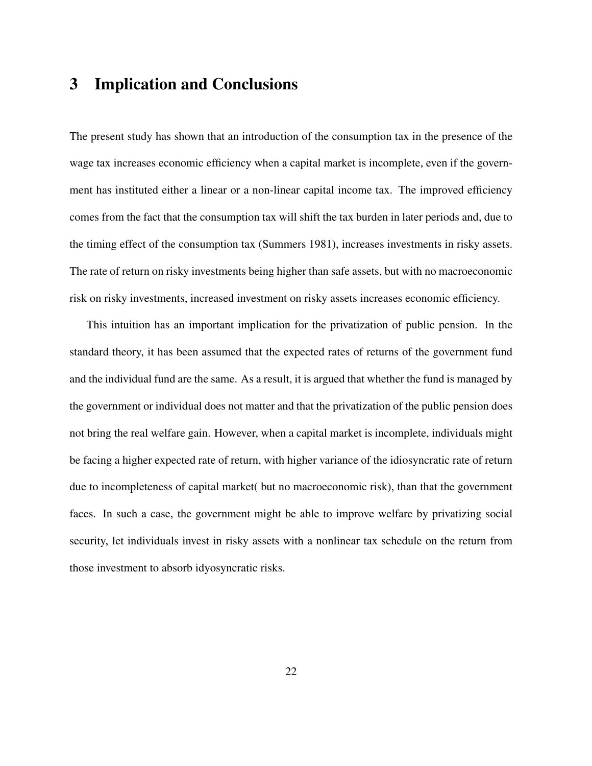## 3 Implication and Conclusions

The present study has shown that an introduction of the consumption tax in the presence of the wage tax increases economic efficiency when a capital market is incomplete, even if the government has instituted either a linear or a non-linear capital income tax. The improved efficiency comes from the fact that the consumption tax will shift the tax burden in later periods and, due to the timing effect of the consumption tax (Summers 1981), increases investments in risky assets. The rate of return on risky investments being higher than safe assets, but with no macroeconomic risk on risky investments, increased investment on risky assets increases economic efficiency.

This intuition has an important implication for the privatization of public pension. In the standard theory, it has been assumed that the expected rates of returns of the government fund and the individual fund are the same. As a result, it is argued that whether the fund is managed by the government or individual does not matter and that the privatization of the public pension does not bring the real welfare gain. However, when a capital market is incomplete, individuals might be facing a higher expected rate of return, with higher variance of the idiosyncratic rate of return due to incompleteness of capital market( but no macroeconomic risk), than that the government faces. In such a case, the government might be able to improve welfare by privatizing social security, let individuals invest in risky assets with a nonlinear tax schedule on the return from those investment to absorb idyosyncratic risks.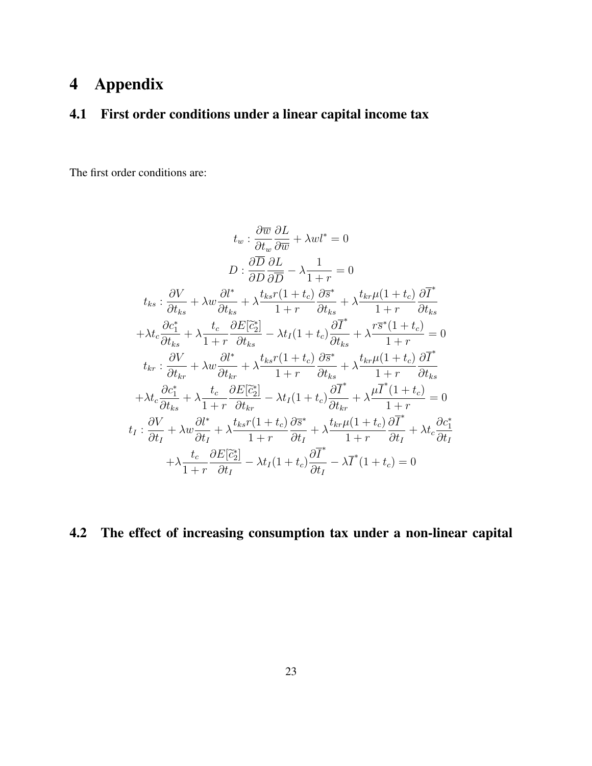# 4 Appendix

## 4.1 First order conditions under a linear capital income tax

The first order conditions are:

$$
t_w : \frac{\partial \overline{w}}{\partial t_w} \frac{\partial L}{\partial \overline{w}} + \lambda w l^* = 0
$$
  
\n
$$
D : \frac{\partial \overline{D}}{\partial D} \frac{\partial L}{\partial \overline{D}} - \lambda \frac{1}{1+r} = 0
$$
  
\n
$$
t_{ks} : \frac{\partial V}{\partial t_{ks}} + \lambda w \frac{\partial l^*}{\partial t_{ks}} + \lambda \frac{t_{ks}r(1+t_c)}{1+r} \frac{\partial \overline{s}^*}{\partial t_{ks}} + \lambda \frac{t_{kr} \mu(1+t_c)}{1+r} \frac{\partial \overline{l}^*}{\partial t_{ks}}
$$
  
\n
$$
+ \lambda t_c \frac{\partial c_1^*}{\partial t_{ks}} + \lambda \frac{t_c}{1+r} \frac{\partial E[\overline{c}_2^*]}{\partial t_{ks}} - \lambda t_I (1+t_c) \frac{\partial \overline{l}^*}{\partial t_{ks}} + \lambda \frac{r \overline{s}^*(1+t_c)}{1+r} = 0
$$
  
\n
$$
t_{kr} : \frac{\partial V}{\partial t_{kr}} + \lambda w \frac{\partial l^*}{\partial t_{kr}} + \lambda \frac{t_{ks}r(1+t_c)}{1+r} \frac{\partial \overline{s}^*}{\partial t_{ks}} + \lambda \frac{t_{kr} \mu(1+t_c)}{1+r} \frac{\partial \overline{l}^*}{\partial t_{ks}}
$$
  
\n
$$
+ \lambda t_c \frac{\partial c_1^*}{\partial t_{ks}} + \lambda \frac{t_c}{1+r} \frac{\partial E[\overline{c}_2^*]}{\partial t_{kr}} - \lambda t_I (1+t_c) \frac{\partial \overline{l}^*}{\partial t_{kr}} + \lambda \frac{\mu \overline{l}^*(1+t_c)}{1+r} = 0
$$
  
\n
$$
t_I : \frac{\partial V}{\partial t_I} + \lambda w \frac{\partial l^*}{\partial t_I} + \lambda \frac{t_{ks}r(1+t_c)}{1+r} \frac{\partial \overline{s}^*}{\partial t_I} + \lambda \frac{t_{kr} \mu(1+t_c)}{1+r} \frac{\partial \overline{l}^*}{\partial t_I} + \lambda t_c \frac{\partial c_1^*}{\partial t_I}
$$
  
\n
$$
+ \lambda \frac{t_c}{1+r} \frac{\partial E[\overline{c}_2^*]}{\
$$

## 4.2 The effect of increasing consumption tax under a non-linear capital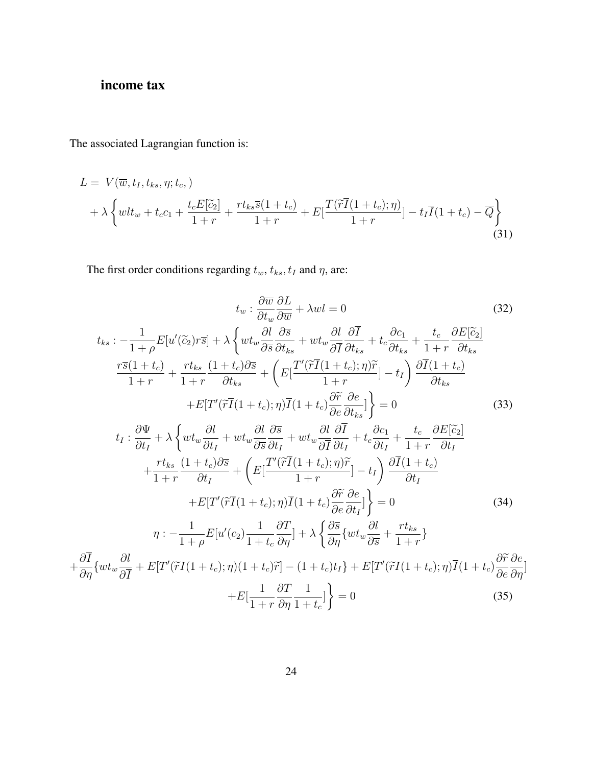### income tax

 $^{+}$ 

The associated Lagrangian function is:

$$
L = V(\overline{w}, t_I, t_{ks}, \eta; t_c, )
$$
  
+  $\lambda \left\{ \begin{aligned} wlt_w + t_c c_1 + \frac{t_c E[\widetilde{c}_2]}{1+r} + \frac{rt_{ks}\overline{s}(1+t_c)}{1+r} + E[\frac{T(\widetilde{r}\overline{I}(1+t_c); \eta)}{1+r}] - t_I \overline{I}(1+t_c) - \overline{Q} \right\} \end{aligned} \right\}$  (31)

The first order conditions regarding  $t_w, t_{ks}, t_I$  and  $\eta$ , are:

$$
t_w : \frac{\partial \overline{w}}{\partial t_w} \frac{\partial L}{\partial \overline{w}} + \lambda w l = 0
$$
\n
$$
t_{ks} : -\frac{1}{1+\rho} E[u'(\tilde{c}_2)r\bar{s}] + \lambda \left\{ wt_w \frac{\partial l}{\partial s} \frac{\partial \overline{s}}{\partial t_{ks}} + wt_w \frac{\partial l}{\partial \overline{l}} \frac{\partial \overline{l}}{\partial t_{ks}} + t_c \frac{\partial c_1}{\partial t_{ks}} + \frac{t_c}{1+r} \frac{\partial E[\tilde{c}_2]}{\partial t_{ks}}
$$
\n
$$
\frac{r\bar{s}(1+t_c)}{1+r} + \frac{rt_{ks}}{1+r} \frac{(1+t_c)\partial \overline{s}}{\partial t_{ks}} + \left( E[\frac{T'(\tilde{r}\bar{l}(1+t_c);\eta)\tilde{r}}{1+r}] - t_I \right) \frac{\partial \bar{l}(1+t_c)}{\partial t_{ks}}
$$
\n
$$
+ E[T'(\tilde{r}\bar{l}(1+t_c);\eta)\bar{l}(1+t_c) \frac{\partial \tilde{r}}{\partial \overline{c}} \frac{\partial e}{\partial t_{ks}}] = 0
$$
\n
$$
t_I : \frac{\partial \Psi}{\partial t_I} + \lambda \left\{ wt_w \frac{\partial l}{\partial t_I} + wt_w \frac{\partial l}{\partial \overline{s}} \frac{\partial \overline{s}}{\partial t_I} + wt_w \frac{\partial l}{\partial \overline{l}} \frac{\partial \overline{l}}{\partial t_I} + t_c \frac{\partial c_1}{\partial t_I} + \frac{t_c}{1+r} \frac{\partial E[\tilde{c}_2]}{\partial t_I}
$$
\n
$$
+ \frac{rt_{ks}}{1+r} \frac{(1+t_c)\partial \overline{s}}{\partial t_I} + \left( E[\frac{T'(\tilde{r}\bar{l}(1+t_c);\eta)\tilde{r}}{1+r}] - t_I \right) \frac{\partial \bar{l}(1+t_c)}{\partial t_I}
$$
\n
$$
+ E[T'(\tilde{r}\bar{l}(1+t_c);\eta)\bar{l}(1+t_c) \frac{\partial \tilde{r}}{\partial \overline{c}} \frac{\partial e}{\partial t_I}]\right\} = 0
$$
\n
$$
\eta : -\frac{1}{1+\rho} E[u'(c_2) \frac{1}{1+t_c} \frac{\partial T}{\partial \eta}] + \lambda \left\{ \frac{\partial \overline{s}}{\partial \eta} \{
$$

∂η

 $1+t_c$ 

 $1 + r$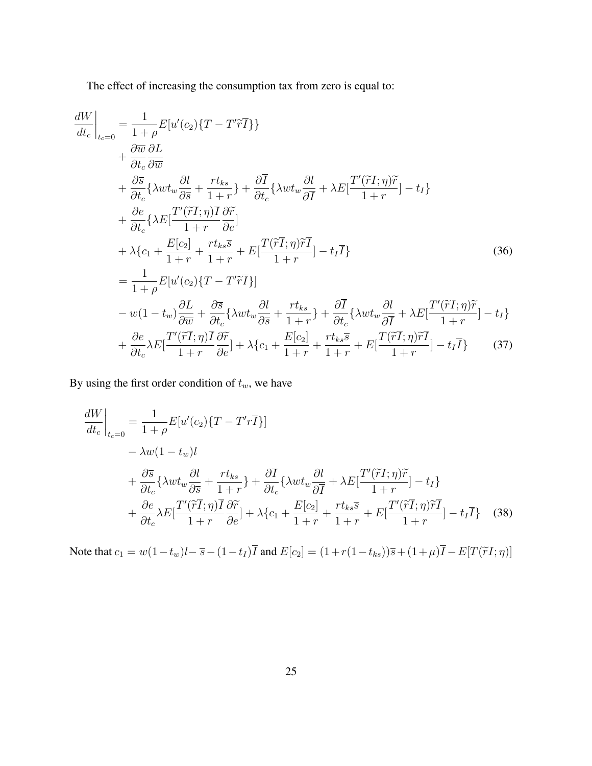The effect of increasing the consumption tax from zero is equal to:

$$
\frac{dW}{dt_c}\Big|_{t_c=0} = \frac{1}{1+\rho} E[u'(c_2)\{T-T'\tilde{r}\tilde{I}\}\n+ \frac{\partial \overline{w}}{\partial t}\frac{\partial L}{\partial w}\n+ \frac{\partial \overline{w}}{\partial t} \{\lambda wt_w \frac{\partial l}{\partial s} + \frac{rt_{ks}}{1+r}\} + \frac{\partial \overline{I}}{\partial t_c} \{\lambda wt_w \frac{\partial l}{\partial \overline{I}} + \lambda E[\frac{T'(\tilde{r}I;\eta)\tilde{r}}{1+r}] - t_I\n+ \frac{\partial e}{\partial t_c} \{\lambda E[\frac{T'(\tilde{r}\tilde{I};\eta)\tilde{I}}{1+r}\frac{\partial \tilde{r}}{\partial \epsilon}]\n+ \lambda \{c_1 + \frac{E[c_2]}{1+r} + \frac{rt_{ks}\overline{s}}{1+r} + E[\frac{T(\tilde{r}\tilde{I};\eta)\tilde{r}\tilde{I}}{1+r}] - t_I\overline{I}\}\n= \frac{1}{1+\rho} E[u'(c_2)\{T-T'\tilde{r}\tilde{I}\}] \n- w(1-t_w)\frac{\partial L}{\partial \overline{w}} + \frac{\partial \overline{s}}{\partial t_c} \{\lambda wt_w \frac{\partial l}{\partial \overline{s}} + \frac{rt_{ks}}{1+r}\} + \frac{\partial \overline{I}}{\partial t_c} \{\lambda wt_w \frac{\partial l}{\partial \overline{I}} + \lambda E[\frac{T'(\tilde{r}I;\eta)\tilde{r}}{1+r}] - t_I\n+ \frac{\partial e}{\partial t_c} \lambda E[\frac{T'(\tilde{r}\tilde{I};\eta)\tilde{I}}{1+r}\frac{\partial \tilde{r}}{\partial \epsilon}] + \lambda \{c_1 + \frac{E[c_2]}{1+r} + \frac{rt_{ks}\overline{s}}{1+r} + E[\frac{T(\tilde{r}\tilde{I};\eta)\tilde{r}\tilde{I}}{1+r}] - t_I\}\n+ \frac{\partial e}{\partial t_c} \lambda E[\frac{T'(\tilde{r}\tilde{I};\eta)\tilde{I}}{1+r}\frac{\partial \tilde{r}}{\partial \epsilon}] + \lambda \{c_1 + \frac{E[c_2]}{1+r} + \frac{rt_{ks}\overline{s}}{1+r} + E[\frac{T(\tilde{r}\tilde{I};\eta)\tilde{r}\tilde{I}}{1+r}] - t_I\}\n+ (37)
$$

By using the first order condition of  $t_w$ , we have

$$
\frac{dW}{dt_c}\Big|_{t_c=0} = \frac{1}{1+\rho} E[u'(c_2)\{T-T'r\overline{I}\}]
$$
\n
$$
-\lambda w(1-t_w)l
$$
\n
$$
+\frac{\partial \overline{s}}{\partial t_c}\{\lambda wt_w \frac{\partial l}{\partial \overline{s}} + \frac{rt_{ks}}{1+r}\} + \frac{\partial \overline{I}}{\partial t_c}\{\lambda wt_w \frac{\partial l}{\partial \overline{I}} + \lambda E[\frac{T'(\widetilde{r}I;\eta)\widetilde{r}}{1+r}] - t_I\}
$$
\n
$$
+\frac{\partial e}{\partial t_c}\lambda E[\frac{T'(\widetilde{r}\overline{I};\eta)\overline{I}}{1+r}\frac{\partial \widetilde{r}}{\partial e}] + \lambda \{c_1 + \frac{E[c_2]}{1+r} + \frac{rt_{ks}\overline{s}}{1+r} + E[\frac{T'(\widetilde{r}\overline{I};\eta)\widetilde{r}\overline{I}}{1+r}] - t_I\overline{I}\} \quad (38)
$$

Note that  $c_1 = w(1-t_w)l - \overline{s} - (1-t_I)\overline{I}$  and  $E[c_2] = (1+r(1-t_{ks}))\overline{s} + (1+\mu)\overline{I} - E[T(\widetilde{r}I;\eta)]$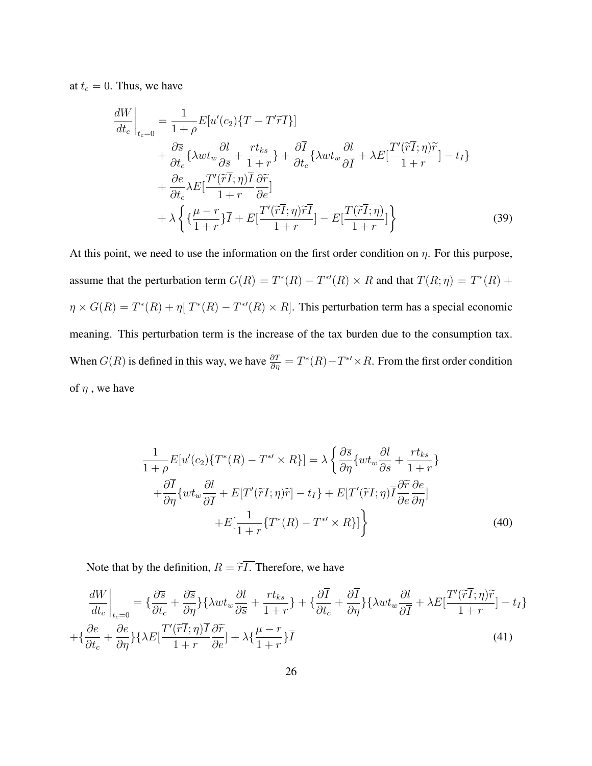at  $t_c = 0$ . Thus, we have

$$
\frac{dW}{dt_c}\Big|_{t_c=0} = \frac{1}{1+\rho} E[u'(c_2)\{T-T'\tilde{r}\bar{I}\}] \n+ \frac{\partial \bar{s}}{\partial t_c} \{\lambda w t_w \frac{\partial l}{\partial \bar{s}} + \frac{rt_{ks}}{1+r}\} + \frac{\partial \bar{I}}{\partial t_c} \{\lambda w t_w \frac{\partial l}{\partial \bar{I}} + \lambda E[\frac{T'(\tilde{r}\bar{I};\eta)\tilde{r}}{1+r}] - t_I \} \n+ \frac{\partial e}{\partial t_c} \lambda E[\frac{T'(\tilde{r}\bar{I};\eta)\bar{I}}{1+r} \frac{\partial \tilde{r}}{\partial e}] \n+ \lambda \left\{ \{\frac{\mu-r}{1+r}\} \bar{I} + E[\frac{T'(\tilde{r}\bar{I};\eta)\tilde{r}\bar{I}}{1+r}] - E[\frac{T(\tilde{r}\bar{I};\eta)}{1+r}] \right\}
$$
\n(39)

At this point, we need to use the information on the first order condition on  $\eta$ . For this purpose, assume that the perturbation term  $G(R) = T^*(R) - T^{*'}(R) \times R$  and that  $T(R; \eta) = T^*(R) + T^*(R)$  $\eta \times G(R) = T^*(R) + \eta [T^*(R) - T^{*'}(R) \times R]$ . This perturbation term has a special economic meaning. This perturbation term is the increase of the tax burden due to the consumption tax. When  $G(R)$  is defined in this way, we have  $\frac{\partial T}{\partial \eta} = T^*(R) - T^{*\prime} \times R$ . From the first order condition of  $\eta$ , we have

$$
\frac{1}{1+\rho}E[u'(c_2)\{T^*(R) - T^{*'} \times R\}] = \lambda \left\{\frac{\partial \overline{s}}{\partial \eta}\{wt_w\frac{\partial l}{\partial \overline{s}} + \frac{rt_{ks}}{1+r}\} + \frac{\partial \overline{I}}{\partial \eta}\{wt_w\frac{\partial l}{\partial \overline{I}} + E[T'(\widetilde{r}I;\eta)\widetilde{r}] - t_I\} + E[T'(\widetilde{r}I;\eta)\widetilde{I}\frac{\partial \widetilde{r}}{\partial e}\frac{\partial e}{\partial \eta}] + E\left[\frac{1}{1+r}\{T^*(R) - T^{*'} \times R\}\right]\right\}
$$
(40)

Note that by the definition,  $R = \tilde{r}\overline{I}$ . Therefore, we have

$$
\frac{dW}{dt_c}\Big|_{t_c=0} = \left\{\frac{\partial \overline{s}}{\partial t_c} + \frac{\partial \overline{s}}{\partial \eta}\right\} \left\{\lambda w t_w \frac{\partial l}{\partial \overline{s}} + \frac{rt_{ks}}{1+r}\right\} + \left\{\frac{\partial \overline{I}}{\partial t_c} + \frac{\partial \overline{I}}{\partial \eta}\right\} \left\{\lambda w t_w \frac{\partial l}{\partial \overline{I}} + \lambda E\left[\frac{T'(\widetilde{r}\overline{I};\eta)\widetilde{r}}{1+r}\right] - t_I\right\}
$$
\n
$$
+ \left\{\frac{\partial e}{\partial t_c} + \frac{\partial e}{\partial \eta}\right\} \left\{\lambda E\left[\frac{T'(\widetilde{r}\overline{I};\eta)\overline{I}}{1+r}\frac{\partial \widetilde{r}}{\partial e}\right] + \lambda \left\{\frac{\mu-r}{1+r}\right\}\overline{I}
$$
\n(41)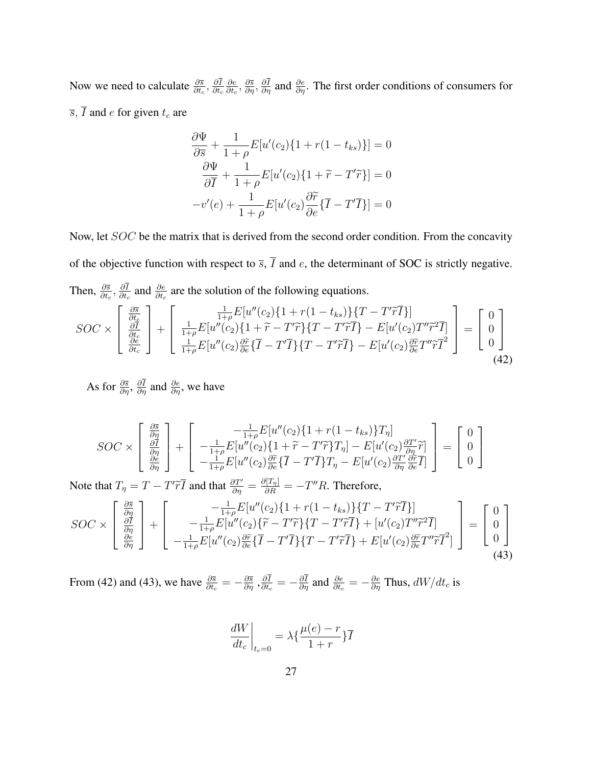Now we need to calculate  $\frac{\partial \bar{s}}{\partial t_c}, \frac{\partial I}{\partial t_c}$  $\partial t_c$ ∂e  $\frac{\partial e}{\partial t_c}$ ,  $\frac{\partial \overline{s}}{\partial \eta}$ ,  $\frac{\partial I}{\partial \eta}$  and  $\frac{\partial e}{\partial \eta}$ . The first order conditions of consumers for  $\overline{s}$ ,  $\overline{I}$  and e for given  $t_c$  are

$$
\frac{\partial \Psi}{\partial \overline{s}} + \frac{1}{1+\rho} E[u'(c_2)\{1+r(1-t_{ks})\}] = 0
$$

$$
\frac{\partial \Psi}{\partial \overline{I}} + \frac{1}{1+\rho} E[u'(c_2)\{1+\tilde{r} - T'\tilde{r}\}] = 0
$$

$$
-v'(e) + \frac{1}{1+\rho} E[u'(c_2)\frac{\partial \tilde{r}}{\partial e}\{\overline{I} - T'\overline{I}\}] = 0
$$

Now, let *SOC* be the matrix that is derived from the second order condition. From the concavity of the objective function with respect to  $\overline{s}$ ,  $\overline{I}$  and  $e$ , the determinant of SOC is strictly negative. Then,  $\frac{\partial \overline{s}}{\partial t_c}, \frac{\partial I}{\partial t_c}$  $\frac{\partial I}{\partial t_c}$  and  $\frac{\partial e}{\partial t_c}$  are the solution of the following equations.  $SOC \times$  $\sqrt{ }$  $\overline{\phantom{a}}$ ∂s  $\frac{\partial t_c}{\partial I}$  $\frac{\partial t_c}{\partial e}$  $\partial t_c$ 1  $| +$  $\lceil$  $\overline{\phantom{a}}$ 1  $\frac{1}{1+\rho}E[u''(c_2)\{1+r(1-t_{ks})\}\{T-T'\tilde{r}\overline{I}\}]$ <br> $\frac{1}{1+F[u''(c_1)\{1+\tilde{r}-T'\tilde{r}\}T-T'\tilde{r}\overline{I}\} -F[u'(c_1)]$  $\frac{1}{1+\rho}E[u''(c_2)\{1+\widetilde{r}-T'\widetilde{r}\}\{T-T'\widetilde{r}\}\}-E[u'(c_2)T''\widetilde{r}^2\overline{I}]$ 1  $\frac{1}{1+\rho}E[u''(c_2)\frac{\partial \widetilde{r}}{\partial e}\{\overline{I}-T'\overline{I}\}\{T-T'\widetilde{r}\overline{I}\}-E[u'(c_2)\frac{\partial \widetilde{r}}{\partial e}T''\widetilde{r}\overline{I}^2$ 1  $\Big| =$  $\sqrt{ }$  $\overline{1}$ 0 0 0 1  $\overline{1}$ (42)

As for  $\frac{\partial \overline{s}}{\partial \eta}$ ,  $\frac{\partial I}{\partial \eta}$  and  $\frac{\partial e}{\partial \eta}$ , we have

$$
SOC \times \begin{bmatrix} \frac{\partial \overline{s}}{\partial \eta} \\ \frac{\partial \overline{I}}{\partial \eta} \end{bmatrix} + \begin{bmatrix} -\frac{1}{1+\rho} E[u''(c_2)\{1+r(1-t_{ks})\}T_{\eta}] \\ -\frac{1}{1+\rho} E[u''(c_2)\{1+\tilde{r}-T'\tilde{r}\}T_{\eta}] - E[u'(c_2)\frac{\partial T'}{\partial \eta}\tilde{r}] \\ -\frac{1}{1+\rho} E[u''(c_2)\frac{\partial \tilde{r}}{\partial \epsilon}\{\overline{I}-T'\overline{I}\}T_{\eta} - E[u'(c_2)\frac{\partial T'}{\partial \eta}\frac{\partial \tilde{r}}{\partial \epsilon}\overline{I}] \end{bmatrix} = \begin{bmatrix} 0 \\ 0 \\ 0 \end{bmatrix}
$$

Note that  $T_{\eta} = T - T' \tilde{r} \overline{I}$  and that  $\frac{\partial T'}{\partial \eta} = \frac{\partial [T_{\eta}]}{\partial R} = -T''R$ . Therefore,

$$
SOC \times \begin{bmatrix} \frac{\partial \overline{s}}{\partial \eta} \\ \frac{\partial \overline{I}}{\partial \eta} \\ \frac{\partial e}{\partial \eta} \end{bmatrix} + \begin{bmatrix} -\frac{1}{1+\rho} E[u''(c_2)\{1+r(1-t_{ks})\}\{T-T'\tilde{r}\}] \\ -\frac{1}{1+\rho} E[u''(c_2)\{\tilde{r}-T'\tilde{r}\}\{T-T'\tilde{r}\} + [u'(c_2)T''\tilde{r}^2\overline{I}] \\ -\frac{1}{1+\rho} E[u''(c_2)\frac{\partial \tilde{r}}{\partial e}\{\overline{I}-T'\overline{I}\}\{T-T'\tilde{r}\} + E[u'(c_2)\frac{\partial \tilde{r}}{\partial e}T''\tilde{r}\overline{I}^2] \end{bmatrix} = \begin{bmatrix} 0 \\ 0 \\ 0 \end{bmatrix}
$$
(43)

From (42) and (43), we have  $\frac{\partial \bar{s}}{\partial t_c} = -\frac{\partial \bar{s}}{\partial \eta}, \frac{\partial I}{\partial t_c}$  $\frac{\partial \bar{I}}{\partial t_c} = -\frac{\partial \bar{I}}{\partial \eta}$  and  $\frac{\partial e}{\partial t_c} = -\frac{\partial e}{\partial \eta}$  Thus,  $dW/dt_c$  is

$$
\left. \frac{dW}{dt_c} \right|_{t_c=0} = \lambda \left\{ \frac{\mu(e) - r}{1 + r} \right\} \overline{I}
$$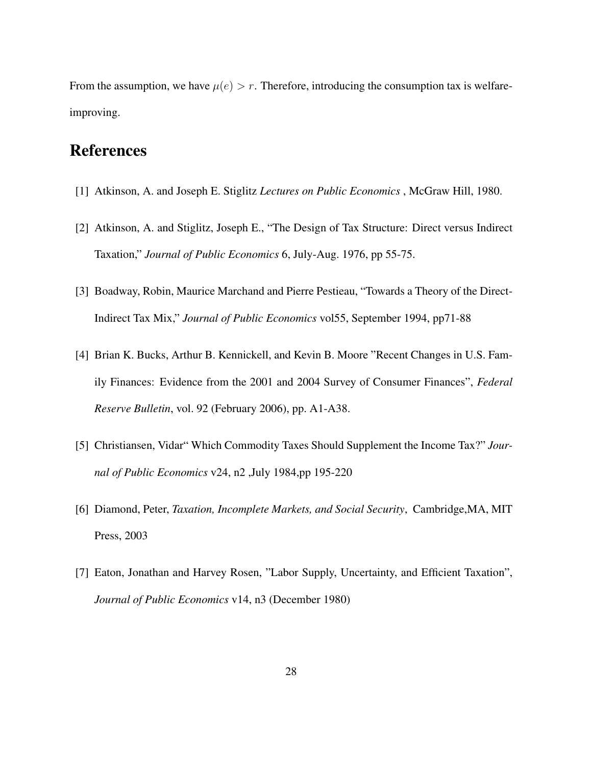From the assumption, we have  $\mu(e) > r$ . Therefore, introducing the consumption tax is welfareimproving.

## References

- [1] Atkinson, A. and Joseph E. Stiglitz *Lectures on Public Economics* , McGraw Hill, 1980.
- [2] Atkinson, A. and Stiglitz, Joseph E., "The Design of Tax Structure: Direct versus Indirect Taxation," *Journal of Public Economics* 6, July-Aug. 1976, pp 55-75.
- [3] Boadway, Robin, Maurice Marchand and Pierre Pestieau, "Towards a Theory of the Direct-Indirect Tax Mix," *Journal of Public Economics* vol55, September 1994, pp71-88
- [4] Brian K. Bucks, Arthur B. Kennickell, and Kevin B. Moore "Recent Changes in U.S. Family Finances: Evidence from the 2001 and 2004 Survey of Consumer Finances", *Federal Reserve Bulletin*, vol. 92 (February 2006), pp. A1-A38.
- [5] Christiansen, Vidar" Which Commodity Taxes Should Supplement the Income Tax?" *Journal of Public Economics* v24, n2 ,July 1984,pp 195-220
- [6] Diamond, Peter, *Taxation, Incomplete Markets, and Social Security*, Cambridge,MA, MIT Press, 2003
- [7] Eaton, Jonathan and Harvey Rosen, "Labor Supply, Uncertainty, and Efficient Taxation", *Journal of Public Economics* v14, n3 (December 1980)